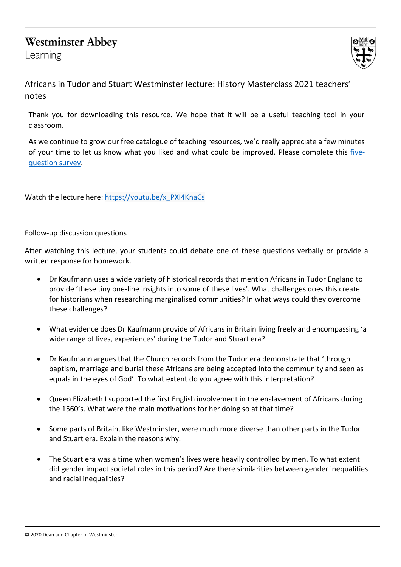# **Westminster Abbey**

Learning



Africans in Tudor and Stuart Westminster lecture: History Masterclass 2021 teachers' notes

Thank you for downloading this resource. We hope that it will be a useful teaching tool in your classroom.

As we continue to grow our free catalogue of teaching resources, we'd really appreciate a few minutes of your time to let us know what you liked and what could be improved. Please complete this [five](https://forms.office.com/r/yVUPQS6zG7)[question survey.](https://forms.office.com/r/yVUPQS6zG7)

Watch the lecture here[: https://youtu.be/x\\_PXI4KnaCs](https://youtu.be/x_PXI4KnaCs)

# Follow-up discussion questions

After watching this lecture, your students could debate one of these questions verbally or provide a written response for homework.

- Dr Kaufmann uses a wide variety of historical records that mention Africans in Tudor England to provide 'these tiny one-line insights into some of these lives'. What challenges does this create for historians when researching marginalised communities? In what ways could they overcome these challenges?
- What evidence does Dr Kaufmann provide of Africans in Britain living freely and encompassing 'a wide range of lives, experiences' during the Tudor and Stuart era?
- Dr Kaufmann argues that the Church records from the Tudor era demonstrate that 'through baptism, marriage and burial these Africans are being accepted into the community and seen as equals in the eyes of God'. To what extent do you agree with this interpretation?
- Queen Elizabeth I supported the first English involvement in the enslavement of Africans during the 1560's. What were the main motivations for her doing so at that time?
- Some parts of Britain, like Westminster, were much more diverse than other parts in the Tudor and Stuart era. Explain the reasons why.
- The Stuart era was a time when women's lives were heavily controlled by men. To what extent did gender impact societal roles in this period? Are there similarities between gender inequalities and racial inequalities?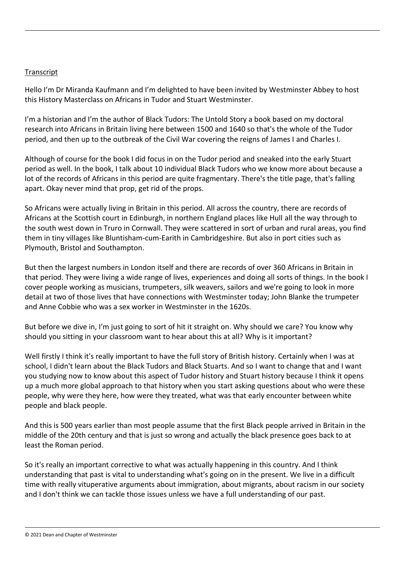#### **Transcript**

Hello I'm Dr Miranda Kaufmann and I'm delighted to have been invited by Westminster Abbey to host this History Masterclass on Africans in Tudor and Stuart Westminster.

I'm a historian and I'm the author of Black Tudors: The Untold Story a book based on my doctoral research into Africans in Britain living here between 1500 and 1640 so that's the whole of the Tudor period, and then up to the outbreak of the Civil War covering the reigns of James I and Charles I.

Although of course for the book I did focus in on the Tudor period and sneaked into the early Stuart period as well. In the book, I talk about 10 individual Black Tudors who we know more about because a lot of the records of Africans in this period are quite fragmentary. There's the title page, that's falling apart. Okay never mind that prop, get rid of the props.

So Africans were actually living in Britain in this period. All across the country, there are records of Africans at the Scottish court in Edinburgh, in northern England places like Hull all the way through to the south west down in Truro in Cornwall. They were scattered in sort of urban and rural areas, you find them in tiny villages like Bluntisham-cum-Earith in Cambridgeshire. But also in port cities such as Plymouth, Bristol and Southampton.

But then the largest numbers in London itself and there are records of over 360 Africans in Britain in that period. They were living a wide range of lives, experiences and doing all sorts of things. In the book I cover people working as musicians, trumpeters, silk weavers, sailors and we're going to look in more detail at two of those lives that have connections with Westminster today; John Blanke the trumpeter and Anne Cobbie who was a sex worker in Westminster in the 1620s.

But before we dive in, I'm just going to sort of hit it straight on. Why should we care? You know why should you sitting in your classroom want to hear about this at all? Why is it important?

Well firstly I think it's really important to have the full story of British history. Certainly when I was at school, I didn't learn about the Black Tudors and Black Stuarts. And so I want to change that and I want you studying now to know about this aspect of Tudor history and Stuart history because I think it opens up a much more global approach to that history when you start asking questions about who were these people, why were they here, how were they treated, what was that early encounter between white people and black people.

And this is 500 years earlier than most people assume that the first Black people arrived in Britain in the middle of the 20th century and that is just so wrong and actually the black presence goes back to at least the Roman period.

So it's really an important corrective to what was actually happening in this country. And I think understanding that past is vital to understanding what's going on in the present. We live in a difficult time with really vituperative arguments about immigration, about migrants, about racism in our society and I don't think we can tackle those issues unless we have a full understanding of our past.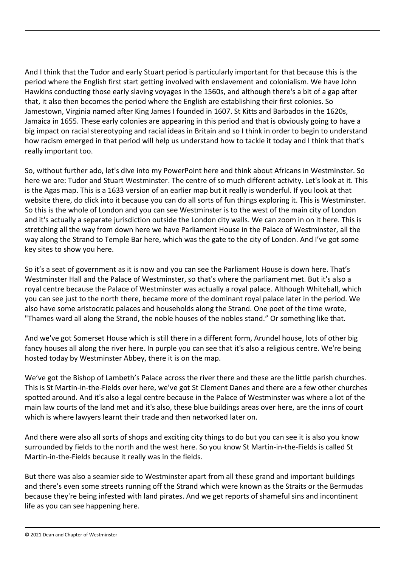And I think that the Tudor and early Stuart period is particularly important for that because this is the period where the English first start getting involved with enslavement and colonialism. We have John Hawkins conducting those early slaving voyages in the 1560s, and although there's a bit of a gap after that, it also then becomes the period where the English are establishing their first colonies. So Jamestown, Virginia named after King James I founded in 1607. St Kitts and Barbados in the 1620s, Jamaica in 1655. These early colonies are appearing in this period and that is obviously going to have a big impact on racial stereotyping and racial ideas in Britain and so I think in order to begin to understand how racism emerged in that period will help us understand how to tackle it today and I think that that's really important too.

So, without further ado, let's dive into my PowerPoint here and think about Africans in Westminster. So here we are: Tudor and Stuart Westminster. The centre of so much different activity. Let's look at it. This is the Agas map. This is a 1633 version of an earlier map but it really is wonderful. If you look at that website there, do click into it because you can do all sorts of fun things exploring it. This is Westminster. So this is the whole of London and you can see Westminster is to the west of the main city of London and it's actually a separate jurisdiction outside the London city walls. We can zoom in on it here. This is stretching all the way from down here we have Parliament House in the Palace of Westminster, all the way along the Strand to Temple Bar here, which was the gate to the city of London. And I've got some key sites to show you here.

So it's a seat of government as it is now and you can see the Parliament House is down here. That's Westminster Hall and the Palace of Westminster, so that's where the parliament met. But it's also a royal centre because the Palace of Westminster was actually a royal palace. Although Whitehall, which you can see just to the north there, became more of the dominant royal palace later in the period. We also have some aristocratic palaces and households along the Strand. One poet of the time wrote, "Thames ward all along the Strand, the noble houses of the nobles stand." Or something like that.

And we've got Somerset House which is still there in a different form, Arundel house, lots of other big fancy houses all along the river here. In purple you can see that it's also a religious centre. We're being hosted today by Westminster Abbey, there it is on the map.

We've got the Bishop of Lambeth's Palace across the river there and these are the little parish churches. This is St Martin-in-the-Fields over here, we've got St Clement Danes and there are a few other churches spotted around. And it's also a legal centre because in the Palace of Westminster was where a lot of the main law courts of the land met and it's also, these blue buildings areas over here, are the inns of court which is where lawyers learnt their trade and then networked later on.

And there were also all sorts of shops and exciting city things to do but you can see it is also you know surrounded by fields to the north and the west here. So you know St Martin-in-the-Fields is called St Martin-in-the-Fields because it really was in the fields.

But there was also a seamier side to Westminster apart from all these grand and important buildings and there's even some streets running off the Strand which were known as the Straits or the Bermudas because they're being infested with land pirates. And we get reports of shameful sins and incontinent life as you can see happening here.

© 2021 Dean and Chapter of Westminster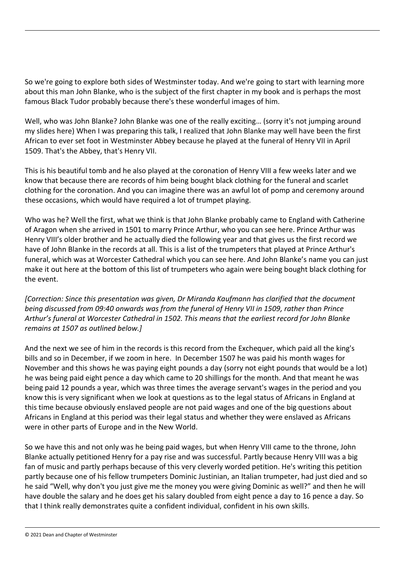So we're going to explore both sides of Westminster today. And we're going to start with learning more about this man John Blanke, who is the subject of the first chapter in my book and is perhaps the most famous Black Tudor probably because there's these wonderful images of him.

Well, who was John Blanke? John Blanke was one of the really exciting… (sorry it's not jumping around my slides here) When I was preparing this talk, I realized that John Blanke may well have been the first African to ever set foot in Westminster Abbey because he played at the funeral of Henry VII in April 1509. That's the Abbey, that's Henry VII.

This is his beautiful tomb and he also played at the coronation of Henry VIII a few weeks later and we know that because there are records of him being bought black clothing for the funeral and scarlet clothing for the coronation. And you can imagine there was an awful lot of pomp and ceremony around these occasions, which would have required a lot of trumpet playing.

Who was he? Well the first, what we think is that John Blanke probably came to England with Catherine of Aragon when she arrived in 1501 to marry Prince Arthur, who you can see here. Prince Arthur was Henry VIII's older brother and he actually died the following year and that gives us the first record we have of John Blanke in the records at all. This is a list of the trumpeters that played at Prince Arthur's funeral, which was at Worcester Cathedral which you can see here. And John Blanke's name you can just make it out here at the bottom of this list of trumpeters who again were being bought black clothing for the event.

*[Correction: Since this presentation was given, Dr Miranda Kaufmann has clarified that the document being discussed from 09:40 onwards was from the funeral of Henry VII in 1509, rather than Prince Arthur's funeral at Worcester Cathedral in 1502. This means that the earliest record for John Blanke remains at 1507 as outlined below.]* 

And the next we see of him in the records is this record from the Exchequer, which paid all the king's bills and so in December, if we zoom in here. In December 1507 he was paid his month wages for November and this shows he was paying eight pounds a day (sorry not eight pounds that would be a lot) he was being paid eight pence a day which came to 20 shillings for the month. And that meant he was being paid 12 pounds a year, which was three times the average servant's wages in the period and you know this is very significant when we look at questions as to the legal status of Africans in England at this time because obviously enslaved people are not paid wages and one of the big questions about Africans in England at this period was their legal status and whether they were enslaved as Africans were in other parts of Europe and in the New World.

So we have this and not only was he being paid wages, but when Henry VIII came to the throne, John Blanke actually petitioned Henry for a pay rise and was successful. Partly because Henry VIII was a big fan of music and partly perhaps because of this very cleverly worded petition. He's writing this petition partly because one of his fellow trumpeters Dominic Justinian, an Italian trumpeter, had just died and so he said "Well, why don't you just give me the money you were giving Dominic as well?" and then he will have double the salary and he does get his salary doubled from eight pence a day to 16 pence a day. So that I think really demonstrates quite a confident individual, confident in his own skills.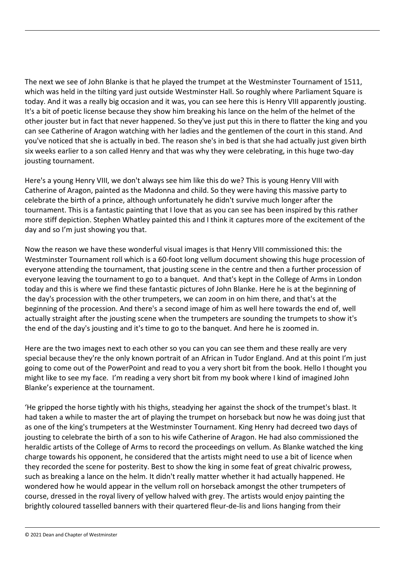The next we see of John Blanke is that he played the trumpet at the Westminster Tournament of 1511, which was held in the tilting yard just outside Westminster Hall. So roughly where Parliament Square is today. And it was a really big occasion and it was, you can see here this is Henry VIII apparently jousting. It's a bit of poetic license because they show him breaking his lance on the helm of the helmet of the other jouster but in fact that never happened. So they've just put this in there to flatter the king and you can see Catherine of Aragon watching with her ladies and the gentlemen of the court in this stand. And you've noticed that she is actually in bed. The reason she's in bed is that she had actually just given birth six weeks earlier to a son called Henry and that was why they were celebrating, in this huge two-day jousting tournament.

Here's a young Henry VIII, we don't always see him like this do we? This is young Henry VIII with Catherine of Aragon, painted as the Madonna and child. So they were having this massive party to celebrate the birth of a prince, although unfortunately he didn't survive much longer after the tournament. This is a fantastic painting that I love that as you can see has been inspired by this rather more stiff depiction. Stephen Whatley painted this and I think it captures more of the excitement of the day and so I'm just showing you that.

Now the reason we have these wonderful visual images is that Henry VIII commissioned this: the Westminster Tournament roll which is a 60-foot long vellum document showing this huge procession of everyone attending the tournament, that jousting scene in the centre and then a further procession of everyone leaving the tournament to go to a banquet. And that's kept in the College of Arms in London today and this is where we find these fantastic pictures of John Blanke. Here he is at the beginning of the day's procession with the other trumpeters, we can zoom in on him there, and that's at the beginning of the procession. And there's a second image of him as well here towards the end of, well actually straight after the jousting scene when the trumpeters are sounding the trumpets to show it's the end of the day's jousting and it's time to go to the banquet. And here he is zoomed in.

Here are the two images next to each other so you can you can see them and these really are very special because they're the only known portrait of an African in Tudor England. And at this point I'm just going to come out of the PowerPoint and read to you a very short bit from the book. Hello I thought you might like to see my face. I'm reading a very short bit from my book where I kind of imagined John Blanke's experience at the tournament.

'He gripped the horse tightly with his thighs, steadying her against the shock of the trumpet's blast. It had taken a while to master the art of playing the trumpet on horseback but now he was doing just that as one of the king's trumpeters at the Westminster Tournament. King Henry had decreed two days of jousting to celebrate the birth of a son to his wife Catherine of Aragon. He had also commissioned the heraldic artists of the College of Arms to record the proceedings on vellum. As Blanke watched the king charge towards his opponent, he considered that the artists might need to use a bit of licence when they recorded the scene for posterity. Best to show the king in some feat of great chivalric prowess, such as breaking a lance on the helm. It didn't really matter whether it had actually happened. He wondered how he would appear in the vellum roll on horseback amongst the other trumpeters of course, dressed in the royal livery of yellow halved with grey. The artists would enjoy painting the brightly coloured tasselled banners with their quartered fleur-de-lis and lions hanging from their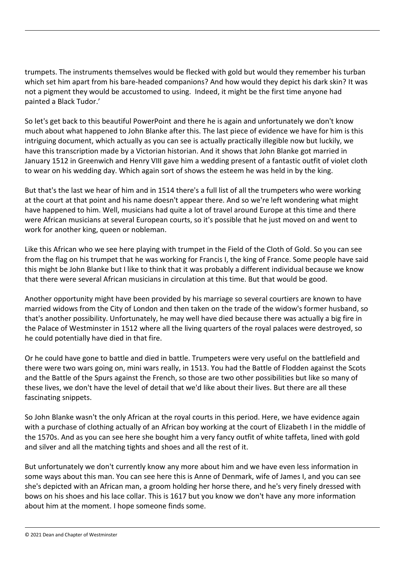trumpets. The instruments themselves would be flecked with gold but would they remember his turban which set him apart from his bare-headed companions? And how would they depict his dark skin? It was not a pigment they would be accustomed to using. Indeed, it might be the first time anyone had painted a Black Tudor.'

So let's get back to this beautiful PowerPoint and there he is again and unfortunately we don't know much about what happened to John Blanke after this. The last piece of evidence we have for him is this intriguing document, which actually as you can see is actually practically illegible now but luckily, we have this transcription made by a Victorian historian. And it shows that John Blanke got married in January 1512 in Greenwich and Henry VIII gave him a wedding present of a fantastic outfit of violet cloth to wear on his wedding day. Which again sort of shows the esteem he was held in by the king.

But that's the last we hear of him and in 1514 there's a full list of all the trumpeters who were working at the court at that point and his name doesn't appear there. And so we're left wondering what might have happened to him. Well, musicians had quite a lot of travel around Europe at this time and there were African musicians at several European courts, so it's possible that he just moved on and went to work for another king, queen or nobleman.

Like this African who we see here playing with trumpet in the Field of the Cloth of Gold. So you can see from the flag on his trumpet that he was working for Francis I, the king of France. Some people have said this might be John Blanke but I like to think that it was probably a different individual because we know that there were several African musicians in circulation at this time. But that would be good.

Another opportunity might have been provided by his marriage so several courtiers are known to have married widows from the City of London and then taken on the trade of the widow's former husband, so that's another possibility. Unfortunately, he may well have died because there was actually a big fire in the Palace of Westminster in 1512 where all the living quarters of the royal palaces were destroyed, so he could potentially have died in that fire.

Or he could have gone to battle and died in battle. Trumpeters were very useful on the battlefield and there were two wars going on, mini wars really, in 1513. You had the Battle of Flodden against the Scots and the Battle of the Spurs against the French, so those are two other possibilities but like so many of these lives, we don't have the level of detail that we'd like about their lives. But there are all these fascinating snippets.

So John Blanke wasn't the only African at the royal courts in this period. Here, we have evidence again with a purchase of clothing actually of an African boy working at the court of Elizabeth I in the middle of the 1570s. And as you can see here she bought him a very fancy outfit of white taffeta, lined with gold and silver and all the matching tights and shoes and all the rest of it.

But unfortunately we don't currently know any more about him and we have even less information in some ways about this man. You can see here this is Anne of Denmark, wife of James I, and you can see she's depicted with an African man, a groom holding her horse there, and he's very finely dressed with bows on his shoes and his lace collar. This is 1617 but you know we don't have any more information about him at the moment. I hope someone finds some.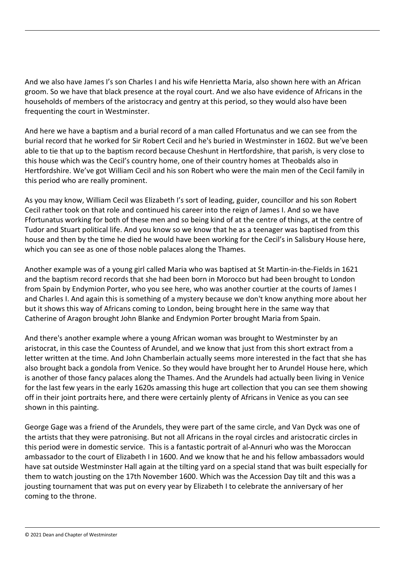And we also have James I's son Charles I and his wife Henrietta Maria, also shown here with an African groom. So we have that black presence at the royal court. And we also have evidence of Africans in the households of members of the aristocracy and gentry at this period, so they would also have been frequenting the court in Westminster.

And here we have a baptism and a burial record of a man called Ffortunatus and we can see from the burial record that he worked for Sir Robert Cecil and he's buried in Westminster in 1602. But we've been able to tie that up to the baptism record because Cheshunt in Hertfordshire, that parish, is very close to this house which was the Cecil's country home, one of their country homes at Theobalds also in Hertfordshire. We've got William Cecil and his son Robert who were the main men of the Cecil family in this period who are really prominent.

As you may know, William Cecil was Elizabeth I's sort of leading, guider, councillor and his son Robert Cecil rather took on that role and continued his career into the reign of James I. And so we have Ffortunatus working for both of these men and so being kind of at the centre of things, at the centre of Tudor and Stuart political life. And you know so we know that he as a teenager was baptised from this house and then by the time he died he would have been working for the Cecil's in Salisbury House here, which you can see as one of those noble palaces along the Thames.

Another example was of a young girl called Maria who was baptised at St Martin-in-the-Fields in 1621 and the baptism record records that she had been born in Morocco but had been brought to London from Spain by Endymion Porter, who you see here, who was another courtier at the courts of James I and Charles I. And again this is something of a mystery because we don't know anything more about her but it shows this way of Africans coming to London, being brought here in the same way that Catherine of Aragon brought John Blanke and Endymion Porter brought Maria from Spain.

And there's another example where a young African woman was brought to Westminster by an aristocrat, in this case the Countess of Arundel, and we know that just from this short extract from a letter written at the time. And John Chamberlain actually seems more interested in the fact that she has also brought back a gondola from Venice. So they would have brought her to Arundel House here, which is another of those fancy palaces along the Thames. And the Arundels had actually been living in Venice for the last few years in the early 1620s amassing this huge art collection that you can see them showing off in their joint portraits here, and there were certainly plenty of Africans in Venice as you can see shown in this painting.

George Gage was a friend of the Arundels, they were part of the same circle, and Van Dyck was one of the artists that they were patronising. But not all Africans in the royal circles and aristocratic circles in this period were in domestic service. This is a fantastic portrait of al-Annuri who was the Moroccan ambassador to the court of Elizabeth I in 1600. And we know that he and his fellow ambassadors would have sat outside Westminster Hall again at the tilting yard on a special stand that was built especially for them to watch jousting on the 17th November 1600. Which was the Accession Day tilt and this was a jousting tournament that was put on every year by Elizabeth I to celebrate the anniversary of her coming to the throne.

© 2021 Dean and Chapter of Westminster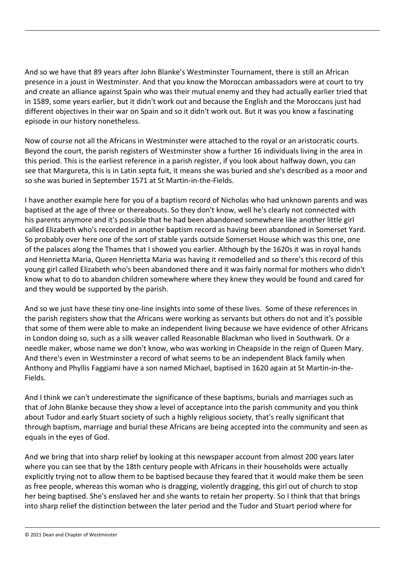And so we have that 89 years after John Blanke's Westminster Tournament, there is still an African presence in a joust in Westminster. And that you know the Moroccan ambassadors were at court to try and create an alliance against Spain who was their mutual enemy and they had actually earlier tried that in 1589, some years earlier, but it didn't work out and because the English and the Moroccans just had different objectives in their war on Spain and so it didn't work out. But it was you know a fascinating episode in our history nonetheless.

Now of course not all the Africans in Westminster were attached to the royal or an aristocratic courts. Beyond the court, the parish registers of Westminster show a further 16 individuals living in the area in this period. This is the earliest reference in a parish register, if you look about halfway down, you can see that Margureta, this is in Latin septa fuit, it means she was buried and she's described as a moor and so she was buried in September 1571 at St Martin-in-the-Fields.

I have another example here for you of a baptism record of Nicholas who had unknown parents and was baptised at the age of three or thereabouts. So they don't know, well he's clearly not connected with his parents anymore and it's possible that he had been abandoned somewhere like another little girl called Elizabeth who's recorded in another baptism record as having been abandoned in Somerset Yard. So probably over here one of the sort of stable yards outside Somerset House which was this one, one of the palaces along the Thames that I showed you earlier. Although by the 1620s it was in royal hands and Henrietta Maria, Queen Henrietta Maria was having it remodelled and so there's this record of this young girl called Elizabeth who's been abandoned there and it was fairly normal for mothers who didn't know what to do to abandon children somewhere where they knew they would be found and cared for and they would be supported by the parish.

And so we just have these tiny one-line insights into some of these lives. Some of these references in the parish registers show that the Africans were working as servants but others do not and it's possible that some of them were able to make an independent living because we have evidence of other Africans in London doing so, such as a silk weaver called Reasonable Blackman who lived in Southwark. Or a needle maker, whose name we don't know, who was working in Cheapside in the reign of Queen Mary. And there's even in Westminster a record of what seems to be an independent Black family when Anthony and Phyllis Faggiami have a son named Michael, baptised in 1620 again at St Martin-in-the-Fields.

And I think we can't underestimate the significance of these baptisms, burials and marriages such as that of John Blanke because they show a level of acceptance into the parish community and you think about Tudor and early Stuart society of such a highly religious society, that's really significant that through baptism, marriage and burial these Africans are being accepted into the community and seen as equals in the eyes of God.

And we bring that into sharp relief by looking at this newspaper account from almost 200 years later where you can see that by the 18th century people with Africans in their households were actually explicitly trying not to allow them to be baptised because they feared that it would make them be seen as free people, whereas this woman who is dragging, violently dragging, this girl out of church to stop her being baptised. She's enslaved her and she wants to retain her property. So I think that that brings into sharp relief the distinction between the later period and the Tudor and Stuart period where for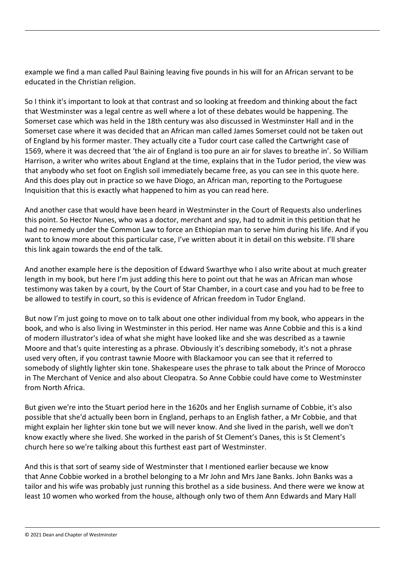example we find a man called Paul Baining leaving five pounds in his will for an African servant to be educated in the Christian religion.

So I think it's important to look at that contrast and so looking at freedom and thinking about the fact that Westminster was a legal centre as well where a lot of these debates would be happening. The Somerset case which was held in the 18th century was also discussed in Westminster Hall and in the Somerset case where it was decided that an African man called James Somerset could not be taken out of England by his former master. They actually cite a Tudor court case called the Cartwright case of 1569, where it was decreed that 'the air of England is too pure an air for slaves to breathe in'. So William Harrison, a writer who writes about England at the time, explains that in the Tudor period, the view was that anybody who set foot on English soil immediately became free, as you can see in this quote here. And this does play out in practice so we have Diogo, an African man, reporting to the Portuguese Inquisition that this is exactly what happened to him as you can read here.

And another case that would have been heard in Westminster in the Court of Requests also underlines this point. So Hector Nunes, who was a doctor, merchant and spy, had to admit in this petition that he had no remedy under the Common Law to force an Ethiopian man to serve him during his life. And if you want to know more about this particular case, I've written about it in detail on this website. I'll share this link again towards the end of the talk.

And another example here is the deposition of Edward Swarthye who I also write about at much greater length in my book, but here I'm just adding this here to point out that he was an African man whose testimony was taken by a court, by the Court of Star Chamber, in a court case and you had to be free to be allowed to testify in court, so this is evidence of African freedom in Tudor England.

But now I'm just going to move on to talk about one other individual from my book, who appears in the book, and who is also living in Westminster in this period. Her name was Anne Cobbie and this is a kind of modern illustrator's idea of what she might have looked like and she was described as a tawnie Moore and that's quite interesting as a phrase. Obviously it's describing somebody, it's not a phrase used very often, if you contrast tawnie Moore with Blackamoor you can see that it referred to somebody of slightly lighter skin tone. Shakespeare uses the phrase to talk about the Prince of Morocco in The Merchant of Venice and also about Cleopatra. So Anne Cobbie could have come to Westminster from North Africa.

But given we're into the Stuart period here in the 1620s and her English surname of Cobbie, it's also possible that she'd actually been born in England, perhaps to an English father, a Mr Cobbie, and that might explain her lighter skin tone but we will never know. And she lived in the parish, well we don't know exactly where she lived. She worked in the parish of St Clement's Danes, this is St Clement's church here so we're talking about this furthest east part of Westminster.

And this is that sort of seamy side of Westminster that I mentioned earlier because we know that Anne Cobbie worked in a brothel belonging to a Mr John and Mrs Jane Banks. John Banks was a tailor and his wife was probably just running this brothel as a side business. And there were we know at least 10 women who worked from the house, although only two of them Ann Edwards and Mary Hall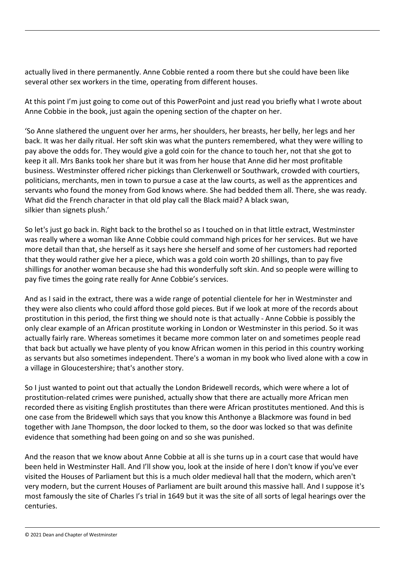actually lived in there permanently. Anne Cobbie rented a room there but she could have been like several other sex workers in the time, operating from different houses.

At this point I'm just going to come out of this PowerPoint and just read you briefly what I wrote about Anne Cobbie in the book, just again the opening section of the chapter on her.

'So Anne slathered the unguent over her arms, her shoulders, her breasts, her belly, her legs and her back. It was her daily ritual. Her soft skin was what the punters remembered, what they were willing to pay above the odds for. They would give a gold coin for the chance to touch her, not that she got to keep it all. Mrs Banks took her share but it was from her house that Anne did her most profitable business. Westminster offered richer pickings than Clerkenwell or Southwark, crowded with courtiers, politicians, merchants, men in town to pursue a case at the law courts, as well as the apprentices and servants who found the money from God knows where. She had bedded them all. There, she was ready. What did the French character in that old play call the Black maid? A black swan, silkier than signets plush.'

So let's just go back in. Right back to the brothel so as I touched on in that little extract, Westminster was really where a woman like Anne Cobbie could command high prices for her services. But we have more detail than that, she herself as it says here she herself and some of her customers had reported that they would rather give her a piece, which was a gold coin worth 20 shillings, than to pay five shillings for another woman because she had this wonderfully soft skin. And so people were willing to pay five times the going rate really for Anne Cobbie's services.

And as I said in the extract, there was a wide range of potential clientele for her in Westminster and they were also clients who could afford those gold pieces. But if we look at more of the records about prostitution in this period, the first thing we should note is that actually - Anne Cobbie is possibly the only clear example of an African prostitute working in London or Westminster in this period. So it was actually fairly rare. Whereas sometimes it became more common later on and sometimes people read that back but actually we have plenty of you know African women in this period in this country working as servants but also sometimes independent. There's a woman in my book who lived alone with a cow in a village in Gloucestershire; that's another story.

So I just wanted to point out that actually the London Bridewell records, which were where a lot of prostitution-related crimes were punished, actually show that there are actually more African men recorded there as visiting English prostitutes than there were African prostitutes mentioned. And this is one case from the Bridewell which says that you know this Anthonye a Blackmore was found in bed together with Jane Thompson, the door locked to them, so the door was locked so that was definite evidence that something had been going on and so she was punished.

And the reason that we know about Anne Cobbie at all is she turns up in a court case that would have been held in Westminster Hall. And I'll show you, look at the inside of here I don't know if you've ever visited the Houses of Parliament but this is a much older medieval hall that the modern, which aren't very modern, but the current Houses of Parliament are built around this massive hall. And I suppose it's most famously the site of Charles I's trial in 1649 but it was the site of all sorts of legal hearings over the centuries.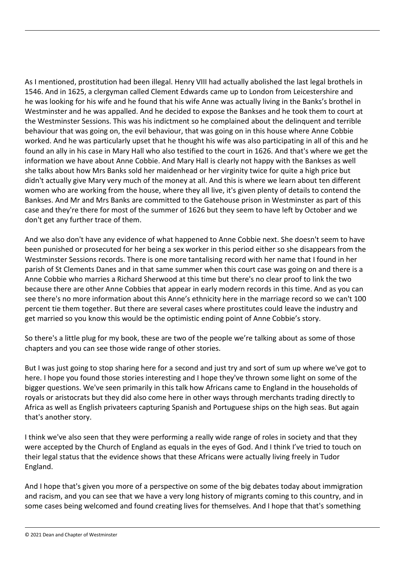As I mentioned, prostitution had been illegal. Henry VIII had actually abolished the last legal brothels in 1546. And in 1625, a clergyman called Clement Edwards came up to London from Leicestershire and he was looking for his wife and he found that his wife Anne was actually living in the Banks's brothel in Westminster and he was appalled. And he decided to expose the Bankses and he took them to court at the Westminster Sessions. This was his indictment so he complained about the delinquent and terrible behaviour that was going on, the evil behaviour, that was going on in this house where Anne Cobbie worked. And he was particularly upset that he thought his wife was also participating in all of this and he found an ally in his case in Mary Hall who also testified to the court in 1626. And that's where we get the information we have about Anne Cobbie. And Mary Hall is clearly not happy with the Bankses as well she talks about how Mrs Banks sold her maidenhead or her virginity twice for quite a high price but didn't actually give Mary very much of the money at all. And this is where we learn about ten different women who are working from the house, where they all live, it's given plenty of details to contend the Bankses. And Mr and Mrs Banks are committed to the Gatehouse prison in Westminster as part of this case and they're there for most of the summer of 1626 but they seem to have left by October and we don't get any further trace of them.

And we also don't have any evidence of what happened to Anne Cobbie next. She doesn't seem to have been punished or prosecuted for her being a sex worker in this period either so she disappears from the Westminster Sessions records. There is one more tantalising record with her name that I found in her parish of St Clements Danes and in that same summer when this court case was going on and there is a Anne Cobbie who marries a Richard Sherwood at this time but there's no clear proof to link the two because there are other Anne Cobbies that appear in early modern records in this time. And as you can see there's no more information about this Anne's ethnicity here in the marriage record so we can't 100 percent tie them together. But there are several cases where prostitutes could leave the industry and get married so you know this would be the optimistic ending point of Anne Cobbie's story.

So there's a little plug for my book, these are two of the people we're talking about as some of those chapters and you can see those wide range of other stories.

But I was just going to stop sharing here for a second and just try and sort of sum up where we've got to here. I hope you found those stories interesting and I hope they've thrown some light on some of the bigger questions. We've seen primarily in this talk how Africans came to England in the households of royals or aristocrats but they did also come here in other ways through merchants trading directly to Africa as well as English privateers capturing Spanish and Portuguese ships on the high seas. But again that's another story.

I think we've also seen that they were performing a really wide range of roles in society and that they were accepted by the Church of England as equals in the eyes of God. And I think I've tried to touch on their legal status that the evidence shows that these Africans were actually living freely in Tudor England.

And I hope that's given you more of a perspective on some of the big debates today about immigration and racism, and you can see that we have a very long history of migrants coming to this country, and in some cases being welcomed and found creating lives for themselves. And I hope that that's something